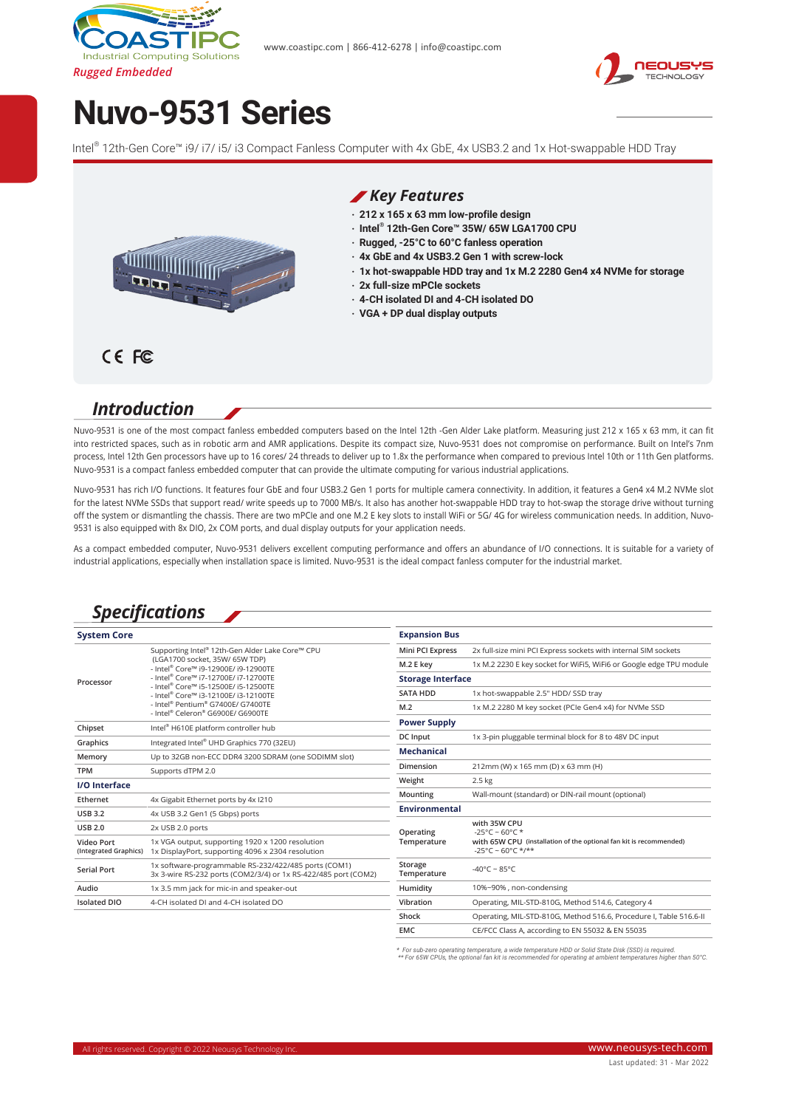



# **Nuvo-9531 Series**

Intel® 12th-Gen Core™ i9/ i7/ i5/ i3 Compact Fanless Computer with 4x GbE, 4x USB3.2 and 1x Hot-swappable HDD Tray



#### *Key Features*

- **‧ 212 x 165 x 63 mm low-profile design**
- **‧ Intel ® 12th-Gen Core™ 35W/ 65W LGA1700 CPU**
- **‧ Rugged, -25°C to 60°C fanless operation**
- **‧ 4x GbE and 4x USB3.2 Gen 1 with screw-lock**
- **‧ 1x hot-swappable HDD tray and 1x M.2 2280 Gen4 x4 NVMe for storage**
- **‧ 2x full-size mPCIe sockets**
- **‧ 4-CH isolated DI and 4-CH isolated DO**
- **‧ VGA + DP dual display outputs**

#### CE FC

#### *Introduction*

Nuvo-9531 is one of the most compact fanless embedded computers based on the Intel 12th -Gen Alder Lake platform. Measuring just 212 x 165 x 63 mm, it can fit into restricted spaces, such as in robotic arm and AMR applications. Despite its compact size, Nuvo-9531 does not compromise on performance. Built on Intel's 7nm process, Intel 12th Gen processors have up to 16 cores/ 24 threads to deliver up to 1.8x the performance when compared to previous Intel 10th or 11th Gen platforms. Nuvo-9531 is a compact fanless embedded computer that can provide the ultimate computing for various industrial applications.

Nuvo-9531 has rich I/O functions. It features four GbE and four USB3.2 Gen 1 ports for multiple camera connectivity. In addition, it features a Gen4 x4 M.2 NVMe slot for the latest NVMe SSDs that support read/ write speeds up to 7000 MB/s. It also has another hot-swappable HDD tray to hot-swap the storage drive without turning off the system or dismantling the chassis. There are two mPCIe and one M.2 E key slots to install WiFi or 5G/ 4G for wireless communication needs. In addition, Nuvo-9531 is also equipped with 8x DIO, 2x COM ports, and dual display outputs for your application needs.

As a compact embedded computer, Nuvo-9531 delivers excellent computing performance and offers an abundance of I/O connections. It is suitable for a variety of industrial applications, especially when installation space is limited. Nuvo-9531 is the ideal compact fanless computer for the industrial market.

### *Specifications*

| <b>System Core</b>                         |                                                                                                                                                                                                                                                                                                                             | <b>Expansion Bus</b>     |                                                                                                                |
|--------------------------------------------|-----------------------------------------------------------------------------------------------------------------------------------------------------------------------------------------------------------------------------------------------------------------------------------------------------------------------------|--------------------------|----------------------------------------------------------------------------------------------------------------|
| Processor                                  | Supporting Intel® 12th-Gen Alder Lake Core™ CPU<br>(LGA1700 socket, 35W/ 65W TDP)<br>- Intel® Core™ i9-12900E/ i9-12900TE<br>- Intel® Core™ i7-12700E/ i7-12700TE<br>- Intel® Core™ i5-12500F/ i5-12500TF<br>- Intel® Core™ i3-12100E/ i3-12100TE<br>- Intel® Pentium® G7400E/ G7400TE<br>- Intel® Celeron® G6900E/ G6900TE | Mini PCI Express         | 2x full-size mini PCI Express sockets with internal SIM sockets                                                |
|                                            |                                                                                                                                                                                                                                                                                                                             | M.2 E key                | 1x M.2 2230 E key socket for WiFi5, WiFi6 or Google edge TPU module                                            |
|                                            |                                                                                                                                                                                                                                                                                                                             | <b>Storage Interface</b> |                                                                                                                |
|                                            |                                                                                                                                                                                                                                                                                                                             | <b>SATA HDD</b>          | 1x hot-swappable 2.5" HDD/ SSD tray                                                                            |
|                                            |                                                                                                                                                                                                                                                                                                                             | M.2                      | 1x M.2 2280 M key socket (PCIe Gen4 x4) for NVMe SSD                                                           |
| Chipset                                    | <b>Power Supply</b><br>Intel <sup>®</sup> H610E platform controller hub                                                                                                                                                                                                                                                     |                          |                                                                                                                |
| Graphics                                   | Integrated Intel® UHD Graphics 770 (32EU)                                                                                                                                                                                                                                                                                   | DC Input                 | 1x 3-pin pluggable terminal block for 8 to 48V DC input                                                        |
|                                            |                                                                                                                                                                                                                                                                                                                             | <b>Mechanical</b>        |                                                                                                                |
| Memory                                     | Up to 32GB non-ECC DDR4 3200 SDRAM (one SODIMM slot)                                                                                                                                                                                                                                                                        | Dimension                | 212mm (W) x 165 mm (D) x 63 mm (H)                                                                             |
| <b>TPM</b>                                 | Supports dTPM 2.0                                                                                                                                                                                                                                                                                                           |                          |                                                                                                                |
| <b>I/O</b> Interface                       |                                                                                                                                                                                                                                                                                                                             | Weight                   | $2.5$ kg                                                                                                       |
| Ethernet                                   | 4x Gigabit Ethernet ports by 4x I210                                                                                                                                                                                                                                                                                        | Mounting                 | Wall-mount (standard) or DIN-rail mount (optional)                                                             |
| <b>USB 3.2</b>                             | 4x USB 3.2 Gen1 (5 Gbps) ports                                                                                                                                                                                                                                                                                              | <b>Environmental</b>     |                                                                                                                |
| <b>USB 2.0</b>                             | 2x USB 2.0 ports                                                                                                                                                                                                                                                                                                            | Operating                | with 35W CPU<br>$-25^{\circ}$ C ~ 60°C *                                                                       |
| <b>Video Port</b><br>(Integrated Graphics) | 1x VGA output, supporting 1920 x 1200 resolution<br>1x DisplayPort, supporting 4096 x 2304 resolution                                                                                                                                                                                                                       | Temperature              | with 65W CPU (installation of the optional fan kit is recommended)<br>$-25^{\circ}$ C ~ 60°C */**              |
| <b>Serial Port</b>                         | 1x software-programmable RS-232/422/485 ports (COM1)<br>3x 3-wire RS-232 ports (COM2/3/4) or 1x RS-422/485 port (COM2)                                                                                                                                                                                                      | Storage<br>Temperature   | -40°C ~ 85°C                                                                                                   |
| Audio                                      | 1x 3.5 mm jack for mic-in and speaker-out                                                                                                                                                                                                                                                                                   | Humidity                 | 10%~90%, non-condensing                                                                                        |
| <b>Isolated DIO</b>                        | 4-CH isolated DI and 4-CH isolated DO                                                                                                                                                                                                                                                                                       | Vibration                | Operating, MIL-STD-810G, Method 514.6, Category 4                                                              |
|                                            |                                                                                                                                                                                                                                                                                                                             | $-1$ $-1$                | $Q_1, \ldots, Q_n$ and $Q_1, \ldots, Q_n$ and $Q_2, \ldots, Q_n$ and $Q_3, \ldots, Q_n$ and $Q_4, \ldots, Q_n$ |

**Shock** Operating, MIL-STD-810G, Method 516.6, Procedure I, Table 516.6-II **EMC** CE/FCC Class A, according to EN 55032 & EN 55035

*\* For sub-zero operating temperature, a wide temperature HDD or Solid State Disk (SSD) is required. \*\* For 65W CPUs, the optional fan kit is recommended for operating at ambient temperatures higher than 50°C.*